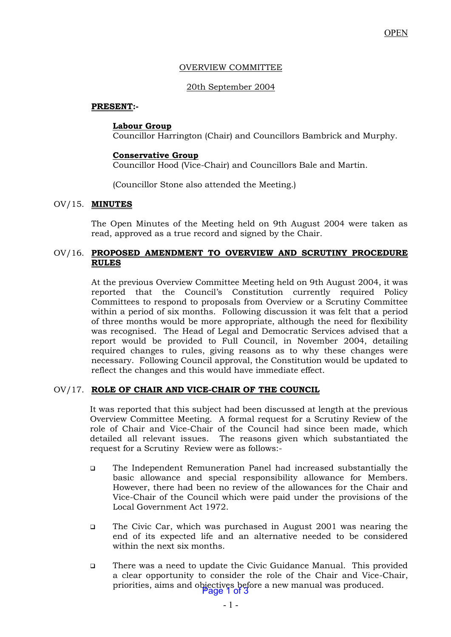### OVERVIEW COMMITTEE

## 20th September 2004

### **PRESENT:-**

#### **Labour Group**

Councillor Harrington (Chair) and Councillors Bambrick and Murphy.

### **Conservative Group**

Councillor Hood (Vice-Chair) and Councillors Bale and Martin.

(Councillor Stone also attended the Meeting.)

### OV/15. **MINUTES**

The Open Minutes of the Meeting held on 9th August 2004 were taken as read, approved as a true record and signed by the Chair.

### OV/16. **PROPOSED AMENDMENT TO OVERVIEW AND SCRUTINY PROCEDURE RULES**

At the previous Overview Committee Meeting held on 9th August 2004, it was reported that the Council's Constitution currently required Policy Committees to respond to proposals from Overview or a Scrutiny Committee within a period of six months. Following discussion it was felt that a period of three months would be more appropriate, although the need for flexibility was recognised. The Head of Legal and Democratic Services advised that a report would be provided to Full Council, in November 2004, detailing required changes to rules, giving reasons as to why these changes were necessary. Following Council approval, the Constitution would be updated to reflect the changes and this would have immediate effect.

# OV/17. **ROLE OF CHAIR AND VICE-CHAIR OF THE COUNCIL**

 It was reported that this subject had been discussed at length at the previous Overview Committee Meeting. A formal request for a Scrutiny Review of the role of Chair and Vice-Chair of the Council had since been made, which detailed all relevant issues. The reasons given which substantiated the request for a Scrutiny Review were as follows:-

- ❑ The Independent Remuneration Panel had increased substantially the basic allowance and special responsibility allowance for Members. However, there had been no review of the allowances for the Chair and Vice-Chair of the Council which were paid under the provisions of the Local Government Act 1972.
- ❑ The Civic Car, which was purchased in August 2001 was nearing the end of its expected life and an alternative needed to be considered within the next six months.
- ❑ There was a need to update the Civic Guidance Manual. This provided a clear opportunity to consider the role of the Chair and Vice-Chair, priorities, aims and objectives before a new manual was produced.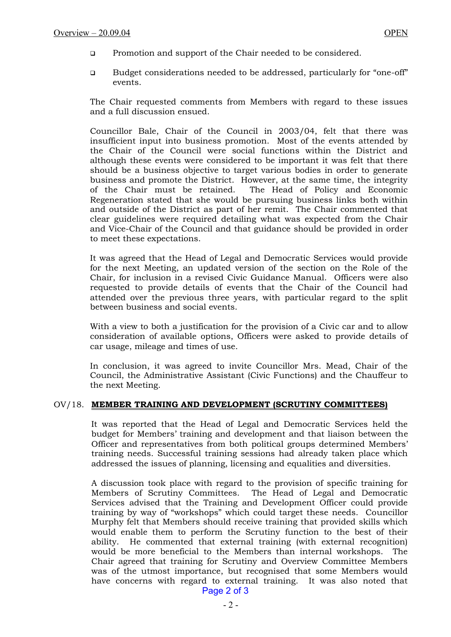- ❑ Promotion and support of the Chair needed to be considered.
- ❑ Budget considerations needed to be addressed, particularly for "one-off" events.

The Chair requested comments from Members with regard to these issues and a full discussion ensued.

 Councillor Bale, Chair of the Council in 2003/04, felt that there was insufficient input into business promotion. Most of the events attended by the Chair of the Council were social functions within the District and although these events were considered to be important it was felt that there should be a business objective to target various bodies in order to generate business and promote the District. However, at the same time, the integrity of the Chair must be retained. The Head of Policy and Economic Regeneration stated that she would be pursuing business links both within and outside of the District as part of her remit. The Chair commented that clear guidelines were required detailing what was expected from the Chair and Vice-Chair of the Council and that guidance should be provided in order to meet these expectations.

 It was agreed that the Head of Legal and Democratic Services would provide for the next Meeting, an updated version of the section on the Role of the Chair, for inclusion in a revised Civic Guidance Manual. Officers were also requested to provide details of events that the Chair of the Council had attended over the previous three years, with particular regard to the split between business and social events.

 With a view to both a justification for the provision of a Civic car and to allow consideration of available options, Officers were asked to provide details of car usage, mileage and times of use.

 In conclusion, it was agreed to invite Councillor Mrs. Mead, Chair of the Council, the Administrative Assistant (Civic Functions) and the Chauffeur to the next Meeting.

#### OV/18. **MEMBER TRAINING AND DEVELOPMENT (SCRUTINY COMMITTEES)**

It was reported that the Head of Legal and Democratic Services held the budget for Members' training and development and that liaison between the Officer and representatives from both political groups determined Members' training needs. Successful training sessions had already taken place which addressed the issues of planning, licensing and equalities and diversities.

A discussion took place with regard to the provision of specific training for Members of Scrutiny Committees. The Head of Legal and Democratic Services advised that the Training and Development Officer could provide training by way of "workshops" which could target these needs. Councillor Murphy felt that Members should receive training that provided skills which would enable them to perform the Scrutiny function to the best of their ability. He commented that external training (with external recognition) would be more beneficial to the Members than internal workshops. The Chair agreed that training for Scrutiny and Overview Committee Members was of the utmost importance, but recognised that some Members would have concerns with regard to external training. It was also noted that Page 2 of 3